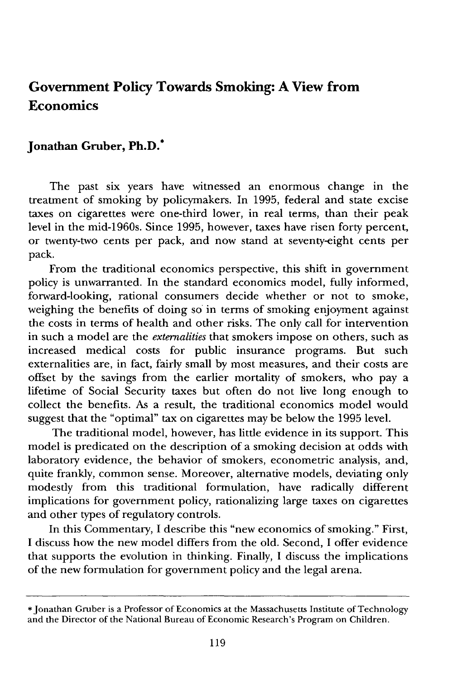# **Government Policy Towards Smoking: A View from Economics**

## **Jonathan Gruber, Ph.D.\***

The past six years have witnessed an enormous change in the treatment of smoking **by** policymakers. In **1995,** federal and state excise taxes on cigarettes were one-third lower, in real terms, than their peak level in the mid-1960s. Since **1995,** however, taxes have risen forty percent, or twenty-two cents per pack, and now stand at seventy-eight cents per pack.

From the traditional economics perspective, this shift in government policy is unwarranted. In the standard economics model, fully informed, forward-looking, rational consumers decide whether or not to smoke, weighing the benefits of doing so in terms of smoking enjoyment against the costs in terms of health and other risks. The only call for intervention in such a model are the *externalities* that smokers impose on others, such as increased medical costs for public insurance programs. But such externalities are, in fact, fairly small **by** most measures, and their costs are offset **by** the savings from the earlier mortality of smokers, who pay a lifetime of Social Security taxes but often do not live long enough to collect the benefits. As a result, the traditional economics model would suggest that the "optimal" tax on cigarettes may be below the **1995** level.

The traditional model, however, has little evidence in its support. This model is predicated on the description of a smoking decision at odds with laboratory evidence, the behavior of smokers, econometric analysis, and, quite frankly, common sense. Moreover, alternative models, deviating only modestly from this traditional formulation, have radically different implications for government policy, rationalizing large taxes on cigarettes and other types of regulatory controls.

In this Commentary, **I** describe this "new economics of smoking." First, **I** discuss how the new model differs from the old. Second, **I** offer evidence that supports the evolution in thinking. Finally, **I** discuss the implications of the new formulation for government policy and the legal arena.

<sup>\*</sup> Jonathan Gruber is a Professor of Economics at the Massachusetts Institute of Technology and the Director of the National Bureau of Economic Research's Program on Children.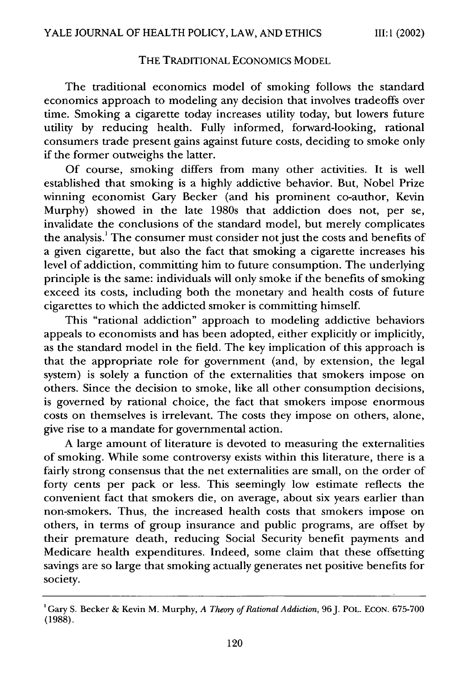### THE TRADITIONAL ECONOMICS MODEL

The traditional economics model of smoking follows the standard economics approach to modeling any decision that involves tradeoffs over time. Smoking a cigarette today increases utility today, but lowers future utility by reducing health. Fully informed, forward-looking, rational consumers trade present gains against future costs, deciding to smoke only if the former outweighs the latter.

Of course, smoking differs from many other activities. It is well established that smoking is a highly addictive behavior. But, Nobel Prize winning economist Gary Becker (and his prominent co-author, Kevin Murphy) showed in the late 1980s that addiction does not, per se, invalidate the conclusions of the standard model, but merely complicates the analysis.<sup>1</sup> The consumer must consider not just the costs and benefits of a given cigarette, but also the fact that smoking a cigarette increases his level of addiction, committing him to future consumption. The underlying principle is the same: individuals will only smoke if the benefits of smoking exceed its costs, including both the monetary and health costs of future cigarettes to which the addicted smoker is committing himself.

This "rational addiction" approach to modeling addictive behaviors appeals to economists and has been adopted, either explicitly or implicitly, as the standard model in the field. The key implication of this approach is that the appropriate role for government (and, by extension, the legal system) is solely a function of the externalities that smokers impose on others. Since the decision to smoke, like all other consumption decisions, is governed by rational choice, the fact that smokers impose enormous costs on themselves is irrelevant. The costs they impose on others, alone, give rise to a mandate for governmental action.

A large amount of literature is devoted to measuring the externalities of smoking. While some controversy exists within this literature, there is a fairly strong consensus that the net externalities are small, on the order of forty cents per pack or less. This seemingly low estimate reflects the convenient fact that smokers die, on average, about six years earlier than non-smokers. Thus, the increased health costs that smokers impose on others, in terms of group insurance and public programs, are offset by their premature death, reducing Social Security benefit payments and Medicare health expenditures. Indeed, some claim that these offsetting savings are so large that smoking actually generates net positive benefits for society.

<sup>&</sup>lt;sup>1</sup> Gary S. Becker & Kevin M. Murphy, *A Theory of Rational Addiction*, 96 J. POL. ECON. 675-700 (1988).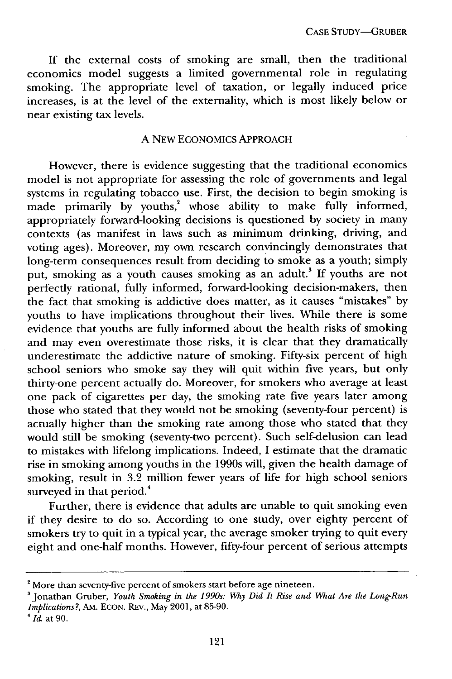If the external costs of smoking are small, then the traditional economics model suggests a limited governmental role in regulating smoking. The appropriate level of taxation, or legally induced price increases, is at the level of the externality, which is most likely below or near existing tax levels.

#### A NEW ECONOMICS APPROACH

However, there is evidence suggesting that the traditional economics model is not appropriate for assessing the role of governments and legal systems in regulating tobacco use. First, the decision to begin smoking is made primarily by youths,<sup>2</sup> whose ability to make fully informed, appropriately forward-looking decisions is questioned by society in many contexts (as manifest in laws such as minimum drinking, driving, and voting ages). Moreover, my own research convincingly demonstrates that long-term consequences result from deciding to smoke as a youth; simply put, smoking as a youth causes smoking as an adult.<sup>3</sup> If youths are not perfectly rational, fully informed, forward-looking decision-makers, then the fact that smoking is addictive does matter, as it causes "mistakes" by youths to have implications throughout their lives. While there is some evidence that youths are fully informed about the health risks of smoking and may even overestimate those risks, it is clear that they dramatically underestimate the addictive nature of smoking. Fifty-six percent of high school seniors who smoke say they will quit within five years, but only thirty-one percent actually do. Moreover, for smokers who average at least one pack of cigarettes per day, the smoking rate five years later among those who stated that they would not be smoking (seventy-four percent) is actually higher than the smoking rate among those who stated that they would still be smoking (seventy-two percent). Such self-delusion can lead to mistakes with lifelong implications. Indeed, I estimate that the dramatic rise in smoking among youths in the 1990s will, given the health damage of smoking, result in 3.2 million fewer years of life for high school seniors surveyed in that period.<sup>4</sup>

Further, there is evidence that adults are unable to quit smoking even if they desire to do so. According to one study, over eighty percent of smokers try to quit in a typical year, the average smoker trying to quit every eight and one-half months. However, fifty-four percent of serious attempts

<sup>&</sup>lt;sup>2</sup> More than seventy-five percent of smokers start before age nineteen.

**<sup>3</sup>** Jonathan Gruber, *Youth Smoking in the 1990s: Why Did It Rise and What Are the Long-Run Implications?,* AM. ECON. REv., May 2001, at 85-90.

*<sup>4</sup> Id.* at 90.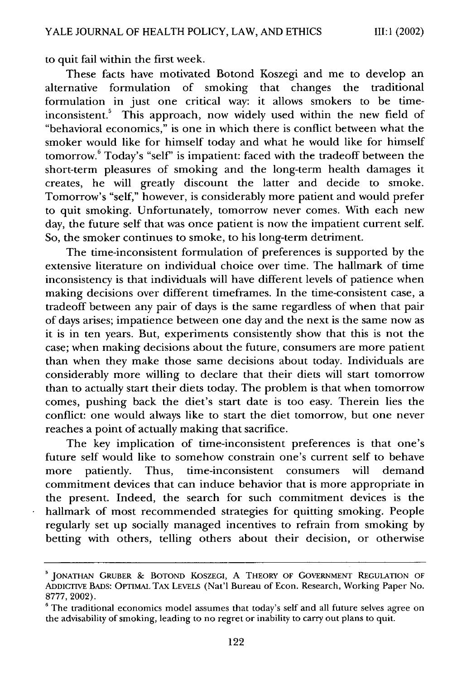to quit fail within the first week.

These facts have motivated Botond Koszegi and me to develop an alternative formulation of smoking that changes the traditional formulation in just one critical way: it allows smokers to be timeinconsistent." This approach, now widely used within the new field of "behavioral economics," is one in which there is conflict between what the smoker would like for himself today and what he would like for himself tomorrow.<sup>6</sup> Today's "self" is impatient: faced with the tradeoff between the short-term pleasures of smoking and the long-term health damages it creates, he will greatly discount the latter and decide to smoke. Tomorrow's "self," however, is considerably more patient and would prefer to quit smoking. Unfortunately, tomorrow never comes. With each new day, the future self that was once patient is now the impatient current self. So, the smoker continues to smoke, to his long-term detriment.

The time-inconsistent formulation of preferences is supported by the extensive literature on individual choice over time. The hallmark of time inconsistency is that individuals will have different levels of patience when making decisions over different timeframes. In the time-consistent case, a tradeoff between any pair of days is the same regardless of when that pair of days arises; impatience between one day and the next is the same now as it is in ten years. But, experiments consistently show that this is not the case; when making decisions about the future, consumers are more patient than when they make those same decisions about today. Individuals are considerably more willing to declare that their diets will start tomorrow than to actually start their diets today. The problem is that when tomorrow comes, pushing back the diet's start date is too easy. Therein lies the conflict: one would always like to start the diet tomorrow, but one never reaches a point of actually making that sacrifice.

The key implication of time-inconsistent preferences is that one's future self would like to somehow constrain one's current self to behave more patiently. Thus, time-inconsistent consumers will demand commitment devices that can induce behavior that is more appropriate in the present. Indeed, the search for such commitment devices is the hallmark of most recommended strategies for quitting smoking. People regularly set up socially managed incentives to refrain from smoking by betting with others, telling others about their decision, or otherwise

**<sup>&#</sup>x27; JONATHAN** GRUBER **& BOTOND** KoSZEGI, A THEORY OF GOVERNMENT REGULATION OF ADDICTIVE BADS: OPTIMAL TAx LEVELS (Nat'l Bureau of Econ. Research, Working Paper No. 8777, 2002).

 $6$  The traditional economics model assumes that today's self and all future selves agree on the advisability of smoking, leading to no regret or inability to carry out plans to quit.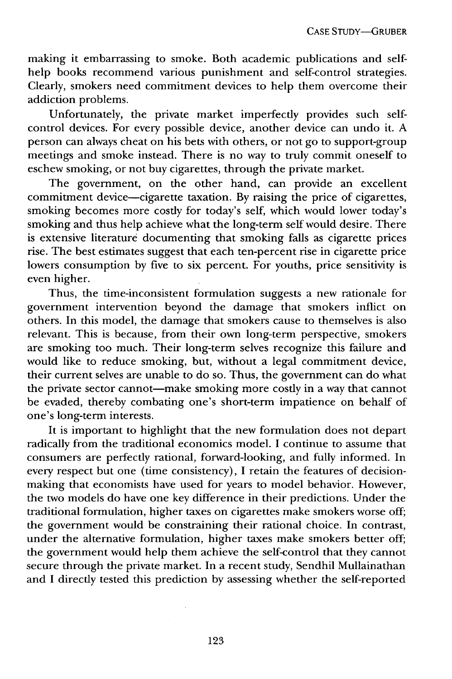making it embarrassing to smoke. Both academic publications and selfhelp books recommend various punishment and self-control strategies. Clearly, smokers need commitment devices to help them overcome their addiction problems.

Unfortunately, the private market imperfectly provides such selfcontrol devices. For every possible device, another device can undo it. A person can always cheat on his bets with others, or not go to support-group meetings and smoke instead. There is no way to truly commit oneself to eschew smoking, or not buy cigarettes, through the private market.

The government, on the other hand, can provide an excellent commitment device—cigarette taxation. By raising the price of cigarettes, smoking becomes more costly for today's self, which would lower today's smoking and thus help achieve what the long-term self would desire. There is extensive literature documenting that smoking falls as cigarette prices rise. The best estimates suggest that each ten-percent rise in cigarette price lowers consumption by five to six percent. For youths, price sensitivity is even higher.

Thus, the time-inconsistent formulation suggests a new rationale for government intervention beyond the damage that smokers inflict on others. In this model, the damage that smokers cause to themselves is also relevant. This is because, from their own long-term perspective, smokers are smoking too much. Their long-term selves recognize this failure and would like to reduce smoking, but, without a legal commitment device, their current selves are unable to do so. Thus, the government can do what the private sector cannot—make smoking more costly in a way that cannot be evaded, thereby combating one's short-term impatience on behalf of one's long-term interests.

It is important to highlight that the new formulation does not depart radically from the traditional economics model. I continue to assume that consumers are perfectly rational, forward-looking, and fully informed. In every respect but one (time consistency), I retain the features of decisionmaking that economists have used for years to model behavior. However, the two models do have one key difference in their predictions. Under the traditional formulation, higher taxes on cigarettes make smokers worse off; the government would be constraining their rational choice. In contrast, under the alternative formulation, higher taxes make smokers better off; the government would help them achieve the self-control that they cannot secure through the private market. In a recent study, Sendhil Mullainathan and I directly tested this prediction by assessing whether the self-reported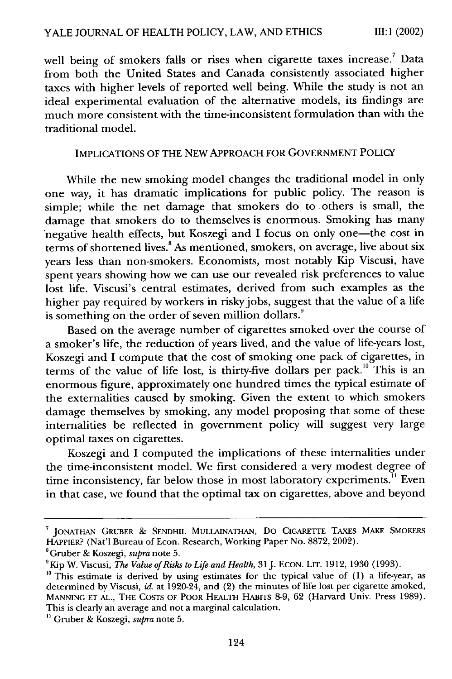**111: 1** (2002)

well being of smokers falls or rises when cigarette taxes increase.' Data from both the United States and Canada consistently associated higher taxes with higher levels of reported well being. While the study is not an ideal experimental evaluation of the alternative models, its findings are much more consistent with the time-inconsistent formulation than with the traditional model.

#### IMPLICATIONS OF THE NEW APPROACH FOR GOVERNMENT POLICY

While the new smoking model changes the traditional model in only one way, it has dramatic implications for public policy. The reason is simple; while the net damage that smokers do to others is small, the damage that smokers do to themselves is enormous. Smoking has many negative health effects, but Koszegi and I focus on only one-the cost in terms of shortened lives.<sup>8</sup> As mentioned, smokers, on average, live about six years less than non-smokers. Economists, most notably Kip Viscusi, have spent years showing how we can use our revealed risk preferences to value lost life. Viscusi's central estimates, derived from such examples as the higher pay required by workers in risky jobs, suggest that the value of a life is something on the order of seven million dollars.<sup>9</sup>

Based on the average number of cigarettes smoked over the course of a smoker's life, the reduction of years lived, and the value of life-years lost, Koszegi and I compute that the cost of smoking one pack of cigarettes, in terms of the value of life lost, is thirty-five dollars per pack."' This is an enormous figure, approximately one hundred times the typical estimate of the externalities caused by smoking. Given the extent to which smokers damage themselves by smoking, any model proposing that some of these internalities be reflected in government policy will suggest very large optimal taxes on cigarettes.

Koszegi and I computed the implications of these internalities under the time-inconsistent model. We first considered a very modest degree of time inconsistency, far below those in most laboratory experiments.<sup>11</sup> Even in that case, we found that the optimal tax on cigarettes, above and beyond

**<sup>&#</sup>x27;** JONATHAN GRUBER & **SENDHIL MULLAINATHAN,** Do **CIGARETTE TAXES** MAKE SMOKERS HAPPIER? (Nat'l Bureau of Econ. Research, Working Paper No. 8872, 2002).

<sup>&#</sup>x27;Gruber & Koszegi, *supra* note 5.

<sup>&</sup>lt;sup>9</sup>Kip W. Viscusi, *The Value of Risks to Life and Health*, 31 J. ECON. LIT. 1912, 1930 (1993).

**<sup>&</sup>quot;** This estimate is derived by using estimates for the typical value of (1) a life-year, as determined by Viscusi, *id.* at 1920-24, and (2) the minutes of life lost per cigarette smoked, **MANNING ET AL.,** THE **COSTS** OF POOR HEALTH HABITS 8-9, 62 (Harvard Univ. Press 1989). This is clearly an average and not a marginal calculation.

**<sup>&</sup>quot;** Gruber & Koszegi, *supra* note 5.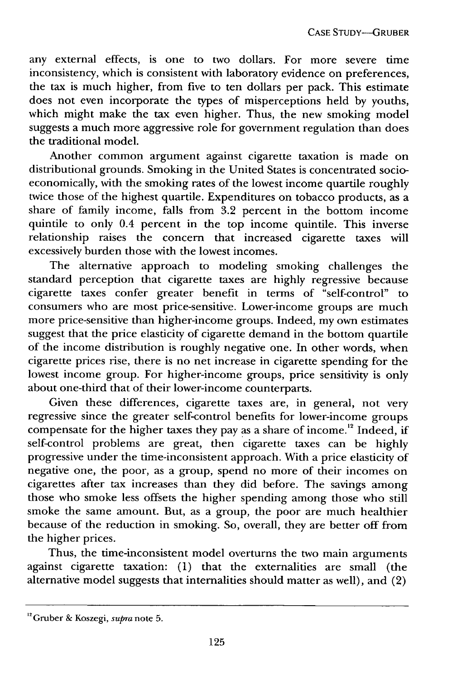any external effects, is one to two dollars. For more severe time inconsistency, which is consistent with laboratory evidence on preferences, the tax is much higher, from five to ten dollars per pack. This estimate does not even incorporate the types of misperceptions held by youths, which might make the tax even higher. Thus, the new smoking model suggests a much more aggressive role for government regulation than does the traditional model.

Another common argument against cigarette taxation is made on distributional grounds. Smoking in the United States is concentrated socioeconomically, with the smoking rates of the lowest income quartile roughly twice those of the highest quartile. Expenditures on tobacco products, as a share of family income, falls from 3.2 percent in the bottom income quintile to only 0.4 percent in the top income quintile. This inverse relationship raises the concern that increased cigarette taxes will excessively burden those with the lowest incomes.

The alternative approach to modeling smoking challenges the standard perception that cigarette taxes are highly regressive because cigarette taxes confer greater benefit in terms of "self-control" to consumers who are most price-sensitive. Lower-income groups are much more price-sensitive than higher-income groups. Indeed, my own estimates suggest that the price elasticity of cigarette demand in the bottom quartile of the income distribution is roughly negative one. In other words, when cigarette prices rise, there is no net increase in cigarette spending for the lowest income group. For higher-income groups, price sensitivity is only about one-third that of their lower-income counterparts.

Given these differences, cigarette taxes are, in general, not very regressive since the greater self-control benefits for lower-income groups compensate for the higher taxes they pay as a share of income.<sup>12</sup> Indeed, if self-control problems are great, then cigarette taxes can be highly progressive under the time-inconsistent approach. With a price elasticity of negative one, the poor, as a group, spend no more of their incomes on cigarettes after tax increases than they did before. The savings among those who smoke less offsets the higher spending among those who still smoke the same amount. But, as a group, the poor are much healthier because of the reduction in smoking. So, overall, they are better off from the higher prices.

Thus, the time-inconsistent model overturns the two main arguments against cigarette taxation: (1) that the externalities are small (the alternative model suggests that internalities should matter as well), and (2)

<sup>1</sup> 2Gruber & Koszegi, *supra* note 5.